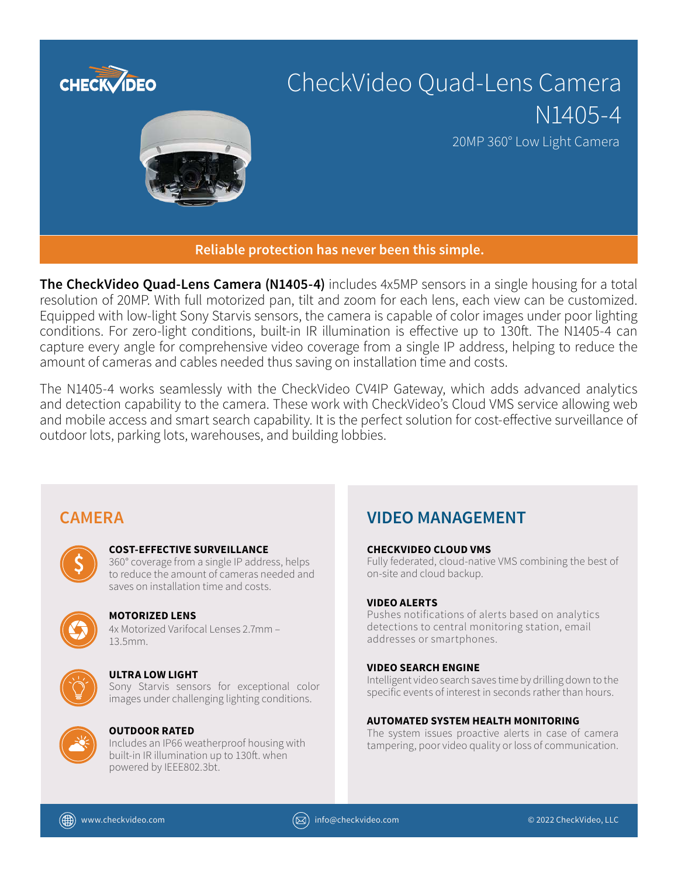

**The CheckVideo Quad-Lens Camera (N1405-4)** includes 4x5MP sensors in a single housing for a total resolution of 20MP. With full motorized pan, tilt and zoom for each lens, each view can be customized. Equipped with low-light Sony Starvis sensors, the camera is capable of color images under poor lighting conditions. For zero-light conditions, built-in IR illumination is effective up to 130ft. The N1405-4 can capture every angle for comprehensive video coverage from a single IP address, helping to reduce the amount of cameras and cables needed thus saving on installation time and costs.

The N1405-4 works seamlessly with the CheckVideo CV4IP Gateway, which adds advanced analytics and detection capability to the camera. These work with CheckVideo's Cloud VMS service allowing web and mobile access and smart search capability. It is the perfect solution for cost-effective surveillance of outdoor lots, parking lots, warehouses, and building lobbies.

# **COST-EFFECTIVE SURVEILLANCE**

360° coverage from a single IP address, helps to reduce the amount of cameras needed and saves on installation time and costs.



# **MOTORIZED LENS**

4x Motorized Varifocal Lenses 2.7mm – 13.5mm.



# **ULTRA LOW LIGHT**

Sony Starvis sensors for exceptional color images under challenging lighting conditions.



# **OUTDOOR RATED**

Includes an IP66 weatherproof housing with built-in IR illumination up to 130ft. when powered by IEEE802.3bt.

# **CAMERA VIDEO MANAGEMENT**

# **CHECKVIDEO CLOUD VMS**

Fully federated, cloud-native VMS combining the best of on-site and cloud backup.

# **VIDEO ALERTS**

Pushes notifications of alerts based on analytics detections to central monitoring station, email addresses or smartphones.

# **VIDEO SEARCH ENGINE**

Intelligent video search saves time by drilling down to the specific events of interest in seconds rather than hours.

# **AUTOMATED SYSTEM HEALTH MONITORING**

The system issues proactive alerts in case of camera tampering, poor video quality or loss of communication.